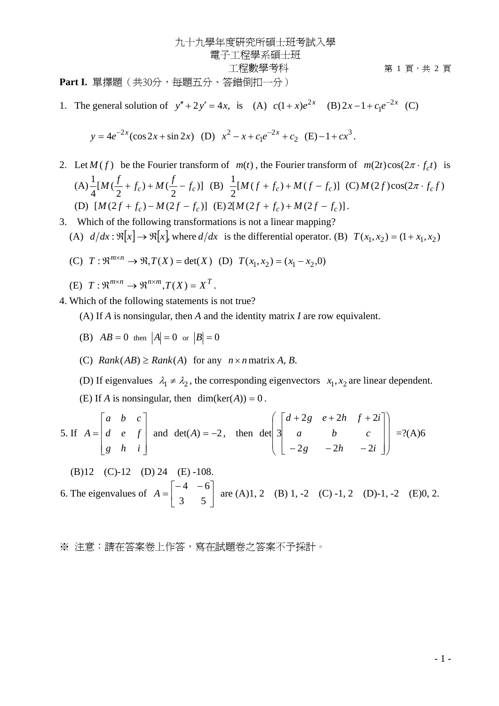九十九學年度研究所碩士班考試入學 電子工程學系碩士班 工程數學考科 第 1 頁,共 2 頁

Part I. 單擇題(共30分,每題五分、答錯倒扣一分)

1. The general solution of  $y'' + 2y' = 4x$ , is (A)  $c(1+x)e^{2x}$  (B)  $2x - 1 + c_1e^{-2x}$  (C)

$$
y = 4e^{-2x}(\cos 2x + \sin 2x)
$$
 (D)  $x^2 - x + c_1e^{-2x} + c_2$  (E)  $-1 + cx^3$ .

- 2. Let  $M(f)$  be the Fourier transform of  $m(t)$ , the Fourier transform of  $m(2t)\cos(2\pi \cdot f_c t)$  is (A)  $\frac{1}{4}[M(\frac{f}{2}+f_c)+M(\frac{f}{2}-f_c)]$  (B)  $\frac{1}{2}[M(f+f_c)+M(f-f_c)]$  (C)  $M(2f)\cos(2\pi \cdot f_c f)$ (D)  $[M(2f + f_c) - M(2f - f_c)]$  (E)  $2[M(2f + f_c) + M(2f - f_c)].$
- 3. Which of the following transformations is not a linear mapping?
	- (A)  $d/dx : \Re[x] \rightarrow \Re[x]$ , where  $d/dx$  is the differential operator. (B)  $T(x_1, x_2) = (1 + x_1, x_2)$
	- (C)  $T: \mathbb{R}^{m \times n} \to \mathbb{R}, T(X) = \det(X)$  (D)  $T(x_1, x_2) = (x_1 x_2, 0)$
	- (E)  $T: \mathbb{R}^{m \times n} \to \mathbb{R}^{n \times m}$ ,  $T(X) = X^T$ .
- 4. Which of the following statements is not true?

(A) If *A* is nonsingular, then *A* and the identity matrix *I* are row equivalent.

- (B)  $AB = 0$  then  $|A| = 0$  or  $|B| = 0$
- (C) *Rank*(*AB*)  $\geq$  *Rank*(*A*) for any  $n \times n$  matrix *A*, *B*.
- (D) If eigenvalues  $\lambda_1 \neq \lambda_2$ , the corresponding eigenvectors  $x_1, x_2$  are linear dependent.
- (E) If *A* is nonsingular, then  $dim(ker(A)) = 0$ .

5. If 
$$
A = \begin{bmatrix} a & b & c \\ d & e & f \\ g & h & i \end{bmatrix}
$$
 and  $det(A) = -2$ , then  $det\begin{bmatrix} d+2g & e+2h & f+2i \\ a & b & c \\ -2g & -2h & -2i \end{bmatrix} = ?(A)6$ 

(B)12 (C)-12 (D) 24 (E) -108.  
6. The eigenvalues of 
$$
A = \begin{bmatrix} -4 & -6 \\ 3 & 5 \end{bmatrix}
$$
 are (A)1, 2 (B) 1, -2 (C) -1, 2 (D)-1, -2 (E)0, 2.

※ 注意:請在答案卷上作答,寫在試題卷之答案不予採計。